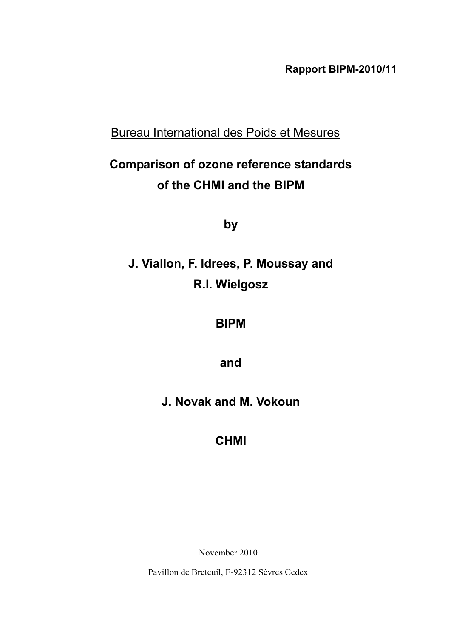Rapport BIPM-2010/11

Bureau International des Poids et Mesures

# Comparison of ozone reference standards of the CHMI and the BIPM

by

# J. Viallon, F. Idrees, P. Moussay and R.I. Wielgosz

# BIPM

and

J. Novak and M. Vokoun

# CHMI

November 2010

Pavillon de Breteuil, F-92312 Sèvres Cedex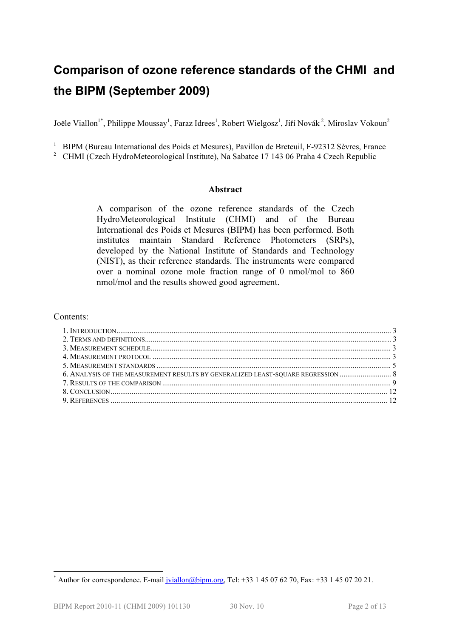# Comparison of ozone reference standards of the CHMI and the BIPM (September 2009)

Joële Viallon<sup>1\*</sup>, Philippe Moussay<sup>1</sup>, Faraz Idrees<sup>1</sup>, Robert Wielgosz<sup>1</sup>, Jiří Novák<sup>2</sup>, Miroslav Vokoun<sup>2</sup>

<sup>1</sup> BIPM (Bureau International des Poids et Mesures), Pavillon de Breteuil, F-92312 Sèvres, France<br><sup>2</sup> CHMI (Czech HydroMeteorological Institute), Na Sabatce 17 143 06 Praha 4 Czech Republic

#### Abstract

A comparison of the ozone reference standards of the Czech HydroMeteorological Institute (CHMI) and of the Bureau International des Poids et Mesures (BIPM) has been performed. Both institutes maintain Standard Reference Photometers (SRPs), developed by the National Institute of Standards and Technology (NIST), as their reference standards. The instruments were compared over a nominal ozone mole fraction range of 0 nmol/mol to 860 nmol/mol and the results showed good agreement.

#### Contents:

-

| 6. ANALYSIS OF THE MEASUREMENT RESULTS BY GENERALIZED LEAST-SOUARE REGRESSION  8 |  |
|----------------------------------------------------------------------------------|--|
|                                                                                  |  |
|                                                                                  |  |
|                                                                                  |  |

<sup>\*</sup> Author for correspondence. E-mail  $\frac{iviallon@bipm.org}{iviallon@bipm.org}$ , Tel: +33 1 45 07 62 70, Fax: +33 1 45 07 20 21.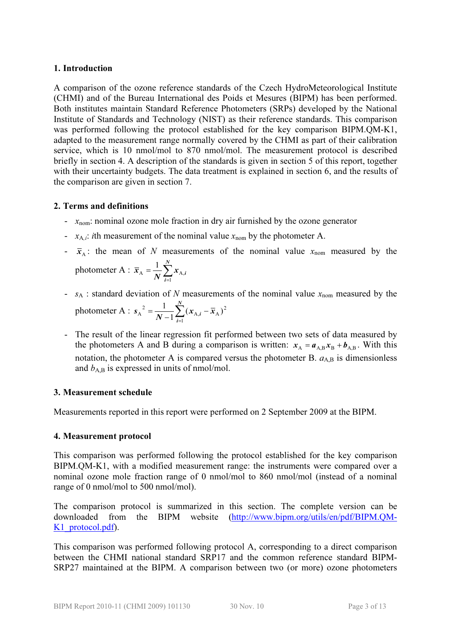## 1. Introduction

A comparison of the ozone reference standards of the Czech HydroMeteorological Institute (CHMI) and of the Bureau International des Poids et Mesures (BIPM) has been performed. Both institutes maintain Standard Reference Photometers (SRPs) developed by the National Institute of Standards and Technology (NIST) as their reference standards. This comparison was performed following the protocol established for the key comparison BIPM.QM-K1, adapted to the measurement range normally covered by the CHMI as part of their calibration service, which is 10 nmol/mol to 870 nmol/mol. The measurement protocol is described briefly in section 4. A description of the standards is given in section 5 of this report, together with their uncertainty budgets. The data treatment is explained in section 6, and the results of the comparison are given in section 7.

## 2. Terms and definitions

- $x_{\text{nom}}$ : nominal ozone mole fraction in dry air furnished by the ozone generator
- $x_{A,i}$ : ith measurement of the nominal value  $x_{nom}$  by the photometer A.

1

- $\bar{x}_A$ : the mean of N measurements of the nominal value  $x_{\text{nom}}$  measured by the photometer A :  $\bar{x}_A = \frac{1}{N} \sum_{i=1}^{N}$ N  $\begin{aligned} \bar{\boldsymbol{x}}_{\rm A} = \frac{1}{N} \sum_{i=1}^N \boldsymbol{x}_{{\rm A},i} \end{aligned}$  $A = \frac{1}{N} \sum A_A$ 1
- $s_A$ : standard deviation of N measurements of the nominal value  $x_{nom}$  measured by the photometer A :  $s_A^2 = \frac{1}{N-1} \sum_{i=1}^{N} (x_{A,i} =\frac{1}{N-1}\sum_{i=1}^{N}(x_{A,i})$ i  $\frac{1}{N-1}\sum_{i,j}(x_{A,i}-\bar{x})$ s 1  $_{A,i}$  –  $\overline{x}_A$ )<sup>2</sup>  $A^{2} = \frac{1}{N-1} \sum_{i=1}^{N} (x_{A,i} - \overline{x}_{A})$
- The result of the linear regression fit performed between two sets of data measured by the photometers A and B during a comparison is written:  $x_A = a_{A,B} x_B + b_{A,B}$ . With this notation, the photometer A is compared versus the photometer B.  $a_{A,B}$  is dimensionless and  $b_{A,B}$  is expressed in units of nmol/mol.

#### 3. Measurement schedule

Measurements reported in this report were performed on 2 September 2009 at the BIPM.

#### 4. Measurement protocol

This comparison was performed following the protocol established for the key comparison BIPM.QM-K1, with a modified measurement range: the instruments were compared over a nominal ozone mole fraction range of 0 nmol/mol to 860 nmol/mol (instead of a nominal range of 0 nmol/mol to 500 nmol/mol).

The comparison protocol is summarized in this section. The complete version can be downloaded from the BIPM website (http://www.bipm.org/utils/en/pdf/BIPM.QM-K1 protocol.pdf).

This comparison was performed following protocol A, corresponding to a direct comparison between the CHMI national standard SRP17 and the common reference standard BIPM-SRP27 maintained at the BIPM. A comparison between two (or more) ozone photometers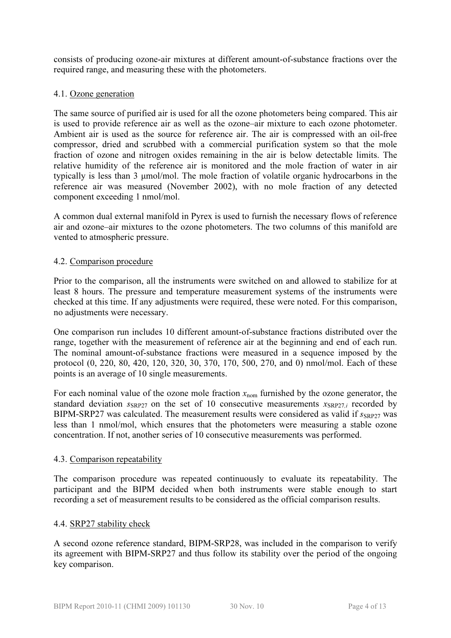consists of producing ozone-air mixtures at different amount-of-substance fractions over the required range, and measuring these with the photometers.

## 4.1. Ozone generation

The same source of purified air is used for all the ozone photometers being compared. This air is used to provide reference air as well as the ozone–air mixture to each ozone photometer. Ambient air is used as the source for reference air. The air is compressed with an oil-free compressor, dried and scrubbed with a commercial purification system so that the mole fraction of ozone and nitrogen oxides remaining in the air is below detectable limits. The relative humidity of the reference air is monitored and the mole fraction of water in air typically is less than 3 μmol/mol. The mole fraction of volatile organic hydrocarbons in the reference air was measured (November 2002), with no mole fraction of any detected component exceeding 1 nmol/mol.

A common dual external manifold in Pyrex is used to furnish the necessary flows of reference air and ozone–air mixtures to the ozone photometers. The two columns of this manifold are vented to atmospheric pressure.

## 4.2. Comparison procedure

Prior to the comparison, all the instruments were switched on and allowed to stabilize for at least 8 hours. The pressure and temperature measurement systems of the instruments were checked at this time. If any adjustments were required, these were noted. For this comparison, no adjustments were necessary.

One comparison run includes 10 different amount-of-substance fractions distributed over the range, together with the measurement of reference air at the beginning and end of each run. The nominal amount-of-substance fractions were measured in a sequence imposed by the protocol (0, 220, 80, 420, 120, 320, 30, 370, 170, 500, 270, and 0) nmol/mol. Each of these points is an average of 10 single measurements.

For each nominal value of the ozone mole fraction  $x_{\text{nom}}$  furnished by the ozone generator, the standard deviation  $s_{SRP27}$  on the set of 10 consecutive measurements  $x_{SRP27i}$  recorded by BIPM-SRP27 was calculated. The measurement results were considered as valid if  $s_{SRP27}$  was less than 1 nmol/mol, which ensures that the photometers were measuring a stable ozone concentration. If not, another series of 10 consecutive measurements was performed.

#### 4.3. Comparison repeatability

The comparison procedure was repeated continuously to evaluate its repeatability. The participant and the BIPM decided when both instruments were stable enough to start recording a set of measurement results to be considered as the official comparison results.

#### 4.4. SRP27 stability check

A second ozone reference standard, BIPM-SRP28, was included in the comparison to verify its agreement with BIPM-SRP27 and thus follow its stability over the period of the ongoing key comparison.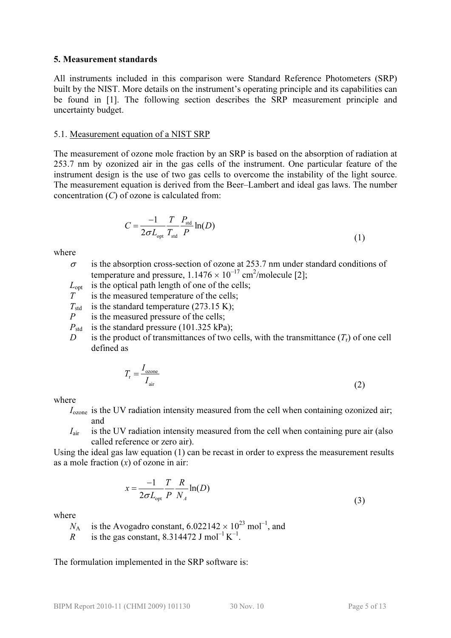#### 5. Measurement standards

All instruments included in this comparison were Standard Reference Photometers (SRP) built by the NIST. More details on the instrument's operating principle and its capabilities can be found in [1]. The following section describes the SRP measurement principle and uncertainty budget.

#### 5.1. Measurement equation of a NIST SRP

The measurement of ozone mole fraction by an SRP is based on the absorption of radiation at 253.7 nm by ozonized air in the gas cells of the instrument. One particular feature of the instrument design is the use of two gas cells to overcome the instability of the light source. The measurement equation is derived from the Beer–Lambert and ideal gas laws. The number concentration (C) of ozone is calculated from:

$$
C = \frac{-1}{2\sigma L_{\text{opt}}} \frac{T}{T_{\text{std}}} \frac{P_{\text{std}}}{P} \ln(D)
$$
\n(1)

where

- $\sigma$  is the absorption cross-section of ozone at 253.7 nm under standard conditions of temperature and pressure,  $1.1476 \times 10^{-17}$  cm<sup>2</sup>/molecule [2];
- $L_{\text{opt}}$  is the optical path length of one of the cells;
- is the measured temperature of the cells;
- $T_{\text{std}}$  is the standard temperature (273.15 K);
- $P$  is the measured pressure of the cells;
- $P_{\text{std}}$  is the standard pressure (101.325 kPa);
- D is the product of transmittances of two cells, with the transmittance  $(T_r)$  of one cell defined as

$$
T_{\rm r} = \frac{I_{\rm ozone}}{I_{\rm air}}\tag{2}
$$

where

- $I_{\text{open}}$  is the UV radiation intensity measured from the cell when containing ozonized air; and
- $I_{\text{air}}$  is the UV radiation intensity measured from the cell when containing pure air (also called reference or zero air).

Using the ideal gas law equation (1) can be recast in order to express the measurement results as a mole fraction  $(x)$  of ozone in air:

$$
x = \frac{-1}{2\sigma L_{\text{opt}}} \frac{T}{P} \frac{R}{N_A} \ln(D)
$$
\n(3)

where

 $N_A$  is the Avogadro constant, 6.022142  $\times$  10<sup>23</sup> mol<sup>-1</sup>, and

R is the gas constant,  $8.314472$  J mol<sup>-1</sup> K<sup>-1</sup>.

The formulation implemented in the SRP software is: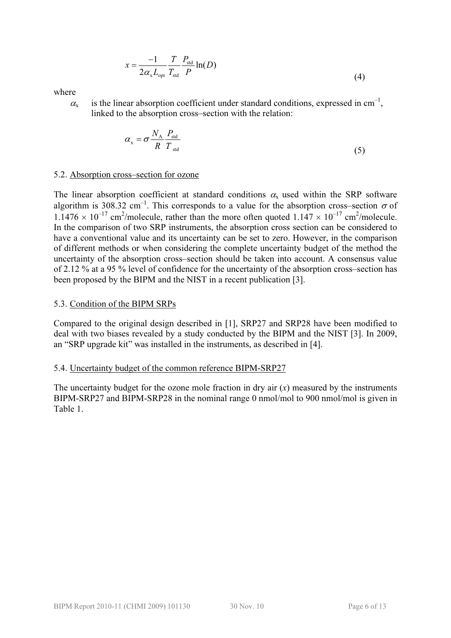$$
x = \frac{-1}{2\alpha_x L_{\text{opt}}} \frac{T}{T_{\text{std}}} \frac{P_{\text{std}}}{P} \ln(D)
$$
(4)

where

 $\alpha_{x}$  is the linear absorption coefficient under standard conditions, expressed in cm<sup>-1</sup>, linked to the absorption cross–section with the relation:

$$
\alpha_{\rm x} = \sigma \frac{N_{\rm A}}{R} \frac{P_{\rm std}}{T_{\rm std}} \tag{5}
$$

#### 5.2. Absorption cross–section for ozone

The linear absorption coefficient at standard conditions  $\alpha_x$  used within the SRP software algorithm is 308.32 cm<sup>-1</sup>. This corresponds to a value for the absorption cross–section  $\sigma$  of  $1.1476 \times 10^{-17}$  cm<sup>2</sup>/molecule, rather than the more often quoted  $1.147 \times 10^{-17}$  cm<sup>2</sup>/molecule. In the comparison of two SRP instruments, the absorption cross section can be considered to have a conventional value and its uncertainty can be set to zero. However, in the comparison of different methods or when considering the complete uncertainty budget of the method the uncertainty of the absorption cross–section should be taken into account. A consensus value of 2.12 % at a 95 % level of confidence for the uncertainty of the absorption cross–section has been proposed by the BIPM and the NIST in a recent publication [3].

#### 5.3. Condition of the BIPM SRPs

Compared to the original design described in [1], SRP27 and SRP28 have been modified to deal with two biases revealed by a study conducted by the BIPM and the NIST [3]. In 2009, an "SRP upgrade kit" was installed in the instruments, as described in [4].

#### 5.4. Uncertainty budget of the common reference BIPM-SRP27

The uncertainty budget for the ozone mole fraction in dry air  $(x)$  measured by the instruments BIPM-SRP27 and BIPM-SRP28 in the nominal range 0 nmol/mol to 900 nmol/mol is given in Table 1.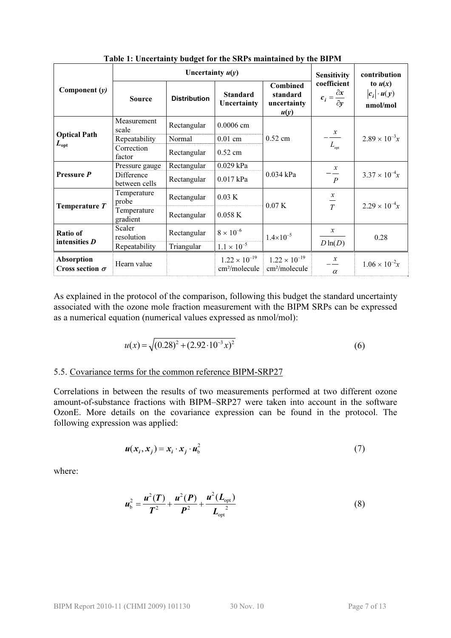|                                             |                             | Uncertainty $u(y)$  | <b>Sensitivity</b>                                  | contribution                                        |                                                      |                                             |
|---------------------------------------------|-----------------------------|---------------------|-----------------------------------------------------|-----------------------------------------------------|------------------------------------------------------|---------------------------------------------|
| Component $(y)$                             | <b>Source</b>               | <b>Distribution</b> | <b>Standard</b><br>Uncertainty                      | Combined<br>standard<br>uncertainty<br>u(y)         | coefficient<br>$c_i = \frac{\partial x}{\partial y}$ | to $u(x)$<br>$ c_i  \cdot u(y)$<br>nmol/mol |
|                                             | Measurement<br>scale        | Rectangular         | $0.0006$ cm                                         |                                                     | $-\frac{x}{L_{\text{opt}}}$                          |                                             |
| <b>Optical Path</b>                         | Repeatability               | Normal              | $0.01$ cm                                           | $0.52$ cm                                           |                                                      | $2.89 \times 10^{-3}x$                      |
| $L_{\rm opt}$                               | Correction<br>factor        | Rectangular         | $0.52$ cm                                           |                                                     |                                                      |                                             |
|                                             | Pressure gauge              | Rectangular         | 0.029 kPa                                           |                                                     | $\frac{x}{-}$                                        |                                             |
| Pressure P                                  | Difference<br>between cells | Rectangular         | 0.017 kPa                                           | $0.034$ kPa                                         | $\overline{P}$                                       | $3.37 \times 10^{-4}x$                      |
| Temperature T                               | Temperature<br>probe        | Rectangular         | 0.03 K                                              | 0.07K                                               | $\boldsymbol{\chi}$<br>$\frac{1}{T}$                 | $2.29 \times 10^{-4}x$                      |
|                                             | Temperature<br>gradient     | Rectangular         | 0.058K                                              |                                                     |                                                      |                                             |
| <b>Ratio of</b><br>intensities D            | Scaler<br>resolution        | Rectangular         | $8 \times 10^{-6}$                                  | $\mathcal{X}$<br>$1.4\times10^{-5}$                 |                                                      | 0.28                                        |
|                                             | Repeatability               | Triangular          | $1.1 \times 10^{-5}$                                |                                                     | $D\ln(D)$                                            |                                             |
| <b>Absorption</b><br>Cross section $\sigma$ | Hearn value                 |                     | $1.22 \times 10^{-19}$<br>cm <sup>2</sup> /molecule | $1.22 \times 10^{-19}$<br>cm <sup>2</sup> /molecule | $\boldsymbol{x}$<br>$\alpha$                         | $1.06 \times 10^{-2}x$                      |

Table 1: Uncertainty budget for the SRPs maintained by the BIPM

As explained in the protocol of the comparison, following this budget the standard uncertainty associated with the ozone mole fraction measurement with the BIPM SRPs can be expressed

as a numerical equation (numerical values expressed as nmol/mol):  

$$
u(x) = \sqrt{(0.28)^2 + (2.92 \cdot 10^{-3} x)^2}
$$
(6)

#### 5.5. Covariance terms for the common reference BIPM-SRP27

Correlations in between the results of two measurements performed at two different ozone amount-of-substance fractions with BIPM–SRP27 were taken into account in the software OzonE. More details on the covariance expression can be found in the protocol. The following expression was applied:

$$
\boldsymbol{u}(\boldsymbol{x}_i, \boldsymbol{x}_j) = \boldsymbol{x}_i \cdot \boldsymbol{x}_j \cdot \boldsymbol{u}_b^2 \tag{7}
$$

where:

$$
u_{b}^{2} = \frac{u^{2}(T)}{T^{2}} + \frac{u^{2}(P)}{P^{2}} + \frac{u^{2}(L_{\text{opt}})}{L_{\text{opt}}^{2}}
$$
(8)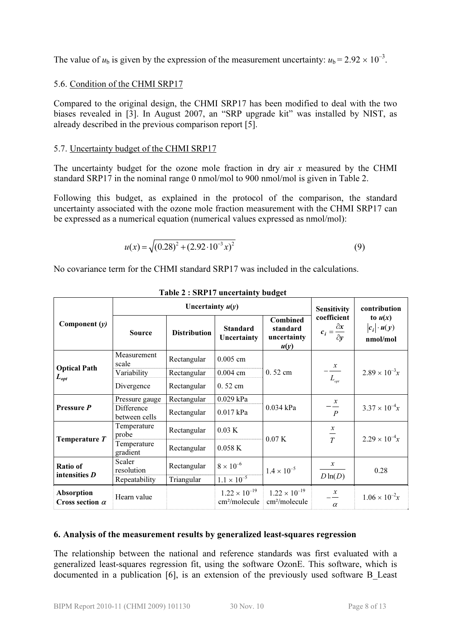The value of  $u<sub>b</sub>$  is given by the expression of the measurement uncertainty:  $u<sub>b</sub> = 2.92 \times 10^{-3}$ .

# 5.6. Condition of the CHMI SRP17

Compared to the original design, the CHMI SRP17 has been modified to deal with the two biases revealed in [3]. In August 2007, an "SRP upgrade kit" was installed by NIST, as already described in the previous comparison report [5].

# 5.7. Uncertainty budget of the CHMI SRP17

The uncertainty budget for the ozone mole fraction in dry air  $x$  measured by the CHMI standard SRP17 in the nominal range 0 nmol/mol to 900 nmol/mol is given in Table 2.

Following this budget, as explained in the protocol of the comparison, the standard uncertainty associated with the ozone mole fraction measurement with the CHMI SRP17 can

be expressed as a numerical equation (numerical values expressed as nmol/mol):  

$$
u(x) = \sqrt{(0.28)^2 + (2.92 \cdot 10^{-3} x)^2}
$$
(9)

No covariance term for the CHMI standard SRP17 was included in the calculations.

|                                             |                                                  | Uncertainty $u(y)$                                                        | <b>Sensitivity</b>                                  | contribution                                        |                                                      |                                             |
|---------------------------------------------|--------------------------------------------------|---------------------------------------------------------------------------|-----------------------------------------------------|-----------------------------------------------------|------------------------------------------------------|---------------------------------------------|
| Component $(y)$                             | <b>Source</b>                                    | <b>Standard</b><br>standard<br><b>Distribution</b><br>Uncertainty<br>u(y) |                                                     | Combined<br>uncertainty                             | coefficient<br>$c_i = \frac{\partial x}{\partial y}$ | to $u(x)$<br>$ c_i  \cdot u(y)$<br>nmol/mol |
|                                             | Measurement<br>scale                             | Rectangular                                                               | $0.005$ cm                                          |                                                     |                                                      |                                             |
| <b>Optical Path</b><br>$L_{opt}$            | Variability                                      | Rectangular                                                               | $0.004$ cm                                          | $0.52 \text{ cm}$                                   | $-\frac{x}{L_{opt}}$                                 | $2.89 \times 10^{-3}x$                      |
|                                             | Divergence                                       | Rectangular                                                               | $0.52 \text{ cm}$                                   |                                                     |                                                      |                                             |
|                                             | Pressure gauge                                   | Rectangular                                                               | 0.029 kPa                                           |                                                     | $\mathcal{X}$<br>$\overline{P}$                      |                                             |
| Pressure P                                  | <b>Difference</b><br>between cells               | Rectangular                                                               | 0.034 kPa<br>0.017 kPa                              |                                                     |                                                      | $3.37 \times 10^{-4}x$                      |
|                                             | Temperature<br>probe                             | Rectangular                                                               | 0.03 K                                              | 0.07K                                               | $\mathcal{X}$<br>$\overline{T}$                      | $2.29 \times 10^{-4}x$                      |
| Temperature T                               | Temperature<br>0.058K<br>Rectangular<br>gradient |                                                                           |                                                     |                                                     |                                                      |                                             |
| <b>Ratio of</b><br>intensities D            | Scaler<br>resolution                             | Rectangular                                                               | $8 \times 10^{-6}$                                  | $1.4 \times 10^{-5}$                                | $\mathcal{X}$                                        | 0.28                                        |
|                                             | Repeatability                                    | Triangular                                                                | $1.1 \times 10^{-5}$                                |                                                     | $D\ln(D)$                                            |                                             |
| <b>Absorption</b><br>Cross section $\alpha$ | Hearn value                                      |                                                                           | $1.22 \times 10^{-19}$<br>cm <sup>2</sup> /molecule | $1.22 \times 10^{-19}$<br>cm <sup>2</sup> /molecule | $\mathcal{X}$<br>$\alpha$                            | $1.06 \times 10^{-2}x$                      |

Table 2 : SRP17 uncertainty budget

# 6. Analysis of the measurement results by generalized least-squares regression

The relationship between the national and reference standards was first evaluated with a generalized least-squares regression fit, using the software OzonE. This software, which is documented in a publication [6], is an extension of the previously used software B\_Least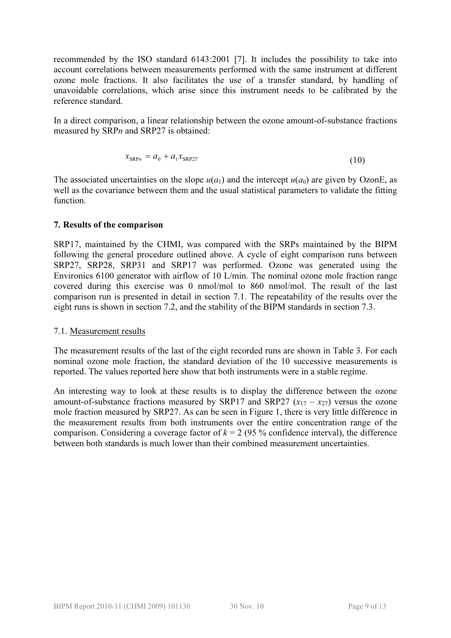recommended by the ISO standard 6143:2001 [7]. It includes the possibility to take into account correlations between measurements performed with the same instrument at different ozone mole fractions. It also facilitates the use of a transfer standard, by handling of unavoidable correlations, which arise since this instrument needs to be calibrated by the reference standard.

In a direct comparison, a linear relationship between the ozone amount-of-substance fractions measured by SRPn and SRP27 is obtained:

$$
x_{\text{SRP}n} = a_0 + a_1 x_{\text{SRP}27} \tag{10}
$$

The associated uncertainties on the slope  $u(a_1)$  and the intercept  $u(a_0)$  are given by OzonE, as well as the covariance between them and the usual statistical parameters to validate the fitting function.

#### 7. Results of the comparison

SRP17, maintained by the CHMI, was compared with the SRPs maintained by the BIPM following the general procedure outlined above. A cycle of eight comparison runs between SRP27, SRP28, SRP31 and SRP17 was performed. Ozone was generated using the Environics 6100 generator with airflow of 10 L/min. The nominal ozone mole fraction range covered during this exercise was 0 nmol/mol to 860 nmol/mol. The result of the last comparison run is presented in detail in section 7.1. The repeatability of the results over the eight runs is shown in section 7.2, and the stability of the BIPM standards in section 7.3.

#### 7.1. Measurement results

The measurement results of the last of the eight recorded runs are shown in Table 3. For each nominal ozone mole fraction, the standard deviation of the 10 successive measurements is reported. The values reported here show that both instruments were in a stable regime.

An interesting way to look at these results is to display the difference between the ozone amount-of-substance fractions measured by SRP17 and SRP27  $(x_{17} - x_{27})$  versus the ozone mole fraction measured by SRP27. As can be seen in Figure 1, there is very little difference in the measurement results from both instruments over the entire concentration range of the comparison. Considering a coverage factor of  $k = 2$  (95 % confidence interval), the difference between both standards is much lower than their combined measurement uncertainties.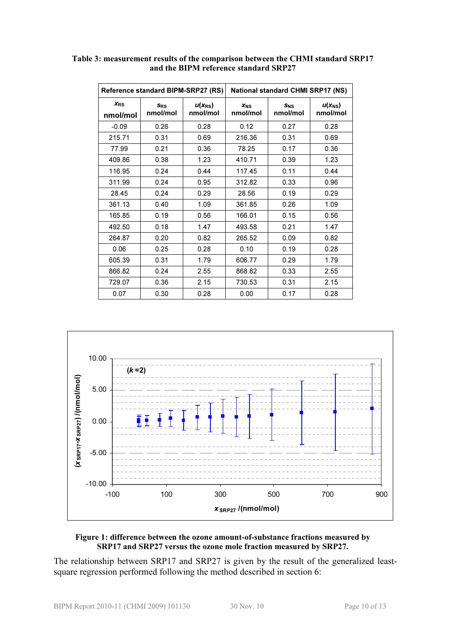|                      | Reference standard BIPM-SRP27 (RS) |                         | <b>National standard CHMI SRP17 (NS)</b> |                        |                         |  |
|----------------------|------------------------------------|-------------------------|------------------------------------------|------------------------|-------------------------|--|
| $X_{RS}$<br>nmol/mol | SRS<br>nmol/mol                    | $u(x_{RS})$<br>nmol/mol | <b>X<sub>NS</sub></b><br>nmol/mol        | <b>SNS</b><br>nmol/mol | $u(x_{NS})$<br>nmol/mol |  |
| $-0.09$              | 0.26                               | 0.28                    | 0.12                                     | 0.27                   | 0.28                    |  |
| 215.71               | 0.31                               | 0.69                    | 216.36                                   | 0.31                   | 0.69                    |  |
| 77.99                | 0.21                               | 0.36                    | 78.25                                    | 0.17                   | 0.36                    |  |
| 409.86               | 0.38                               | 1.23                    | 410.71                                   | 0.39                   | 1.23                    |  |
| 116.95               | 0.24                               | 0.44                    | 117.45                                   | 0.11                   | 0.44                    |  |
| 311.99               | 0.24                               | 0.95                    | 312.82                                   | 0.33                   | 0.96                    |  |
| 28.45                | 0.24                               | 0.29                    | 28.56                                    | 0.19                   | 0.29                    |  |
| 361.13               | 0.40                               | 1.09                    | 361.85                                   | 0.26                   | 1.09                    |  |
| 165.85               | 0.19                               | 0.56                    | 166.01                                   | 0.15                   | 0.56                    |  |
| 492.50               | 0.18                               | 1.47                    | 493.58                                   | 0.21                   | 1.47                    |  |
| 264.87               | 0.20                               | 0.82                    | 265.52                                   | 0.09                   | 0.82                    |  |
| 0.06                 | 0.25                               | 0.28                    | 0.10                                     | 0.19                   | 0.28                    |  |
| 605.39               | 0.31                               | 1.79                    | 606.77                                   | 0.29                   | 1.79                    |  |
| 866.82               | 0.24                               | 2.55                    | 868.82                                   | 0.33                   | 2.55                    |  |
| 729.07               | 0.36                               | 2.15                    | 730.53                                   | 0.31                   | 2.15                    |  |
| 0.07                 | 0.30                               | 0.28                    | 0.00                                     | 0.17                   | 0.28                    |  |

#### Table 3: measurement results of the comparison between the CHMI standard SRP17 and the BIPM reference standard SRP27



#### Figure 1: difference between the ozone amount-of-substance fractions measured by SRP17 and SRP27 versus the ozone mole fraction measured by SRP27.

The relationship between SRP17 and SRP27 is given by the result of the generalized leastsquare regression performed following the method described in section 6: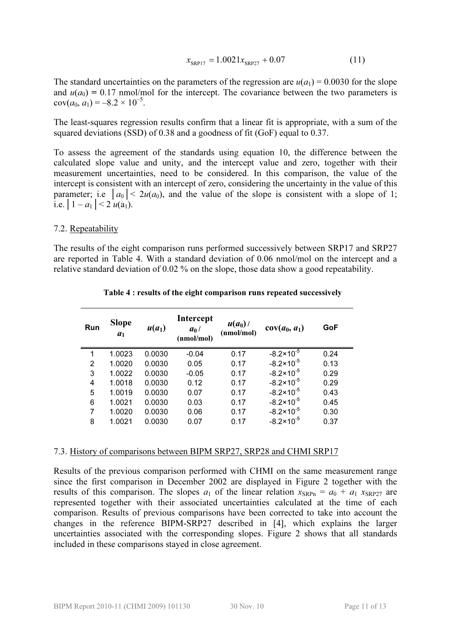$$
x_{SRPI7} = 1.0021x_{SRP27} + 0.07\tag{11}
$$

The standard uncertainties on the parameters of the regression are  $u(a_1) = 0.0030$  for the slope and  $u(a_0) = 0.17$  nmol/mol for the intercept. The covariance between the two parameters is  $cov(a_0, a_1) = -8.2 \times 10^{-5}$ .

The least-squares regression results confirm that a linear fit is appropriate, with a sum of the squared deviations (SSD) of 0.38 and a goodness of fit (GoF) equal to 0.37.

To assess the agreement of the standards using equation 10, the difference between the calculated slope value and unity, and the intercept value and zero, together with their measurement uncertainties, need to be considered. In this comparison, the value of the intercept is consistent with an intercept of zero, considering the uncertainty in the value of this parameter; i.e  $|a_0| < 2u(a_0)$ , and the value of the slope is consistent with a slope of 1; i.e.  $|1 - a_1| < 2 u(a_1)$ .

#### 7.2. Repeatability

The results of the eight comparison runs performed successively between SRP17 and SRP27 are reported in Table 4. With a standard deviation of 0.06 nmol/mol on the intercept and a relative standard deviation of 0.02 % on the slope, those data show a good repeatability.

| Run | <b>Slope</b><br>a <sub>1</sub> | $u(a_1)$ | Intercept<br>$a_0/$<br>(nmol/mol) | $u(a_0)$ /<br>(nmol/mol) | $cov(a_0, a_1)$       | GoF  |
|-----|--------------------------------|----------|-----------------------------------|--------------------------|-----------------------|------|
| 1   | 1.0023                         | 0.0030   | $-0.04$                           | 0.17                     | $-8.2 \times 10^{-5}$ | 0.24 |
| 2   | 1.0020                         | 0.0030   | 0.05                              | 0.17                     | $-8.2 \times 10^{-5}$ | 0.13 |
| 3   | 1.0022                         | 0.0030   | $-0.05$                           | 0.17                     | $-8.2 \times 10^{-5}$ | 0.29 |
| 4   | 1.0018                         | 0.0030   | 0.12                              | 0.17                     | $-8.2 \times 10^{-5}$ | 0.29 |
| 5   | 1.0019                         | 0.0030   | 0.07                              | 0.17                     | $-8.2 \times 10^{-5}$ | 0.43 |
| 6   | 1.0021                         | 0.0030   | 0.03                              | 0.17                     | $-8.2 \times 10^{-5}$ | 0.45 |
| 7   | 1.0020                         | 0.0030   | 0.06                              | 0.17                     | $-8.2 \times 10^{-5}$ | 0.30 |
| 8   | 1.0021                         | 0.0030   | 0.07                              | 0.17                     | $-8.2 \times 10^{-5}$ | 0.37 |

#### Table 4 : results of the eight comparison runs repeated successively

#### 7.3. History of comparisons between BIPM SRP27, SRP28 and CHMI SRP17

Results of the previous comparison performed with CHMI on the same measurement range since the first comparison in December 2002 are displayed in Figure 2 together with the results of this comparison. The slopes  $a_1$  of the linear relation  $x_{\text{SRPn}} = a_0 + a_1 x_{\text{SRP27}}$  are represented together with their associated uncertainties calculated at the time of each comparison. Results of previous comparisons have been corrected to take into account the changes in the reference BIPM-SRP27 described in [4], which explains the larger uncertainties associated with the corresponding slopes. Figure 2 shows that all standards included in these comparisons stayed in close agreement.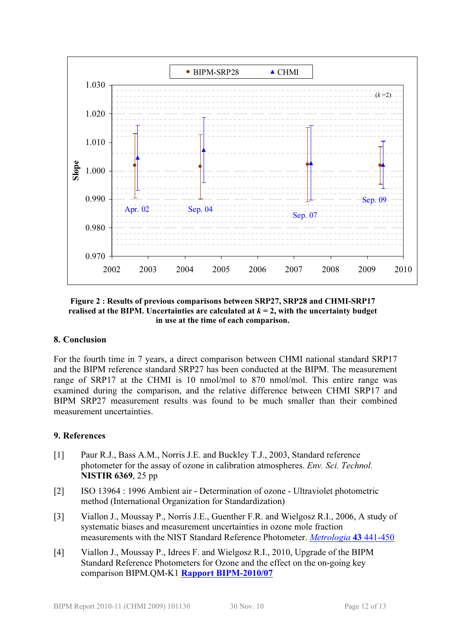

Figure 2 : Results of previous comparisons between SRP27, SRP28 and CHMI-SRP17 realised at the BIPM. Uncertainties are calculated at  $k = 2$ , with the uncertainty budget in use at the time of each comparison.

### 8. Conclusion

For the fourth time in 7 years, a direct comparison between CHMI national standard SRP17 and the BIPM reference standard SRP27 has been conducted at the BIPM. The measurement range of SRP17 at the CHMI is 10 nmol/mol to 870 nmol/mol. This entire range was examined during the comparison, and the relative difference between CHMI SRP17 and BIPM SRP27 measurement results was found to be much smaller than their combined measurement uncertainties.

# 9. References

- [1] Paur R.J., Bass A.M., Norris J.E. and Buckley T.J., 2003, Standard reference photometer for the assay of ozone in calibration atmospheres. Env. Sci. Technol. NISTIR 6369, 25 pp
- [2] ISO 13964 : 1996 Ambient air Determination of ozone Ultraviolet photometric method (International Organization for Standardization)
- [3] Viallon J., Moussay P., Norris J.E., Guenther F.R. and Wielgosz R.I., 2006, A study of systematic biases and measurement uncertainties in ozone mole fraction measurements with the NIST Standard Reference Photometer. Metrologia <sup>43</sup> 441-450
- [4] Viallon J., Moussay P., Idrees F. and Wielgosz R.I., 2010, Upgrade of the BIPM Standard Reference Photometers for Ozone and the effect on the on-going key comparison BIPM.QM-K1 Rapport BIPM-2010/07